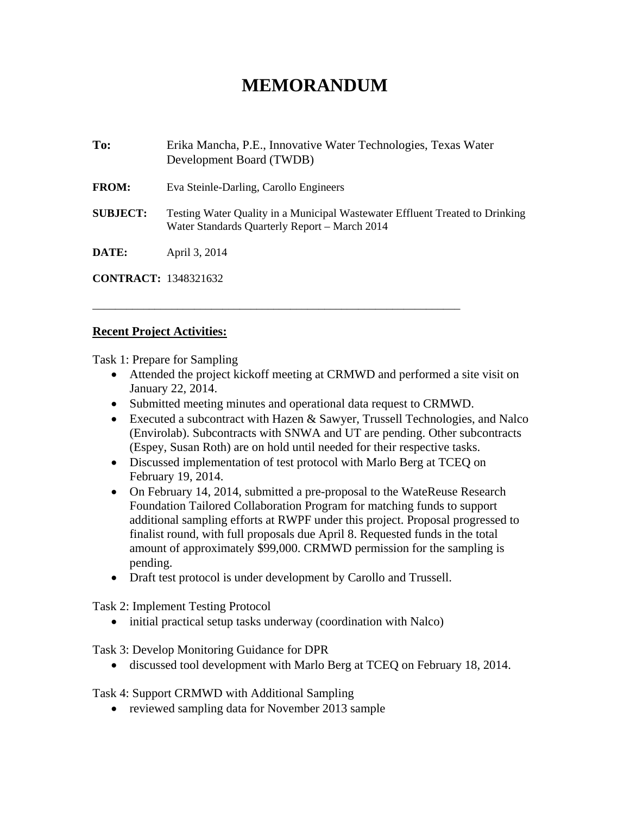## **MEMORANDUM**

| To:                         | Erika Mancha, P.E., Innovative Water Technologies, Texas Water<br>Development Board (TWDB)                                    |
|-----------------------------|-------------------------------------------------------------------------------------------------------------------------------|
| <b>FROM:</b>                | Eva Steinle-Darling, Carollo Engineers                                                                                        |
| <b>SUBJECT:</b>             | Testing Water Quality in a Municipal Wastewater Effluent Treated to Drinking<br>Water Standards Quarterly Report – March 2014 |
| DATE:                       | April 3, 2014                                                                                                                 |
| <b>CONTRACT:</b> 1348321632 |                                                                                                                               |

## **Recent Project Activities:**

Task 1: Prepare for Sampling

- Attended the project kickoff meeting at CRMWD and performed a site visit on January 22, 2014.
- Submitted meeting minutes and operational data request to CRMWD.

\_\_\_\_\_\_\_\_\_\_\_\_\_\_\_\_\_\_\_\_\_\_\_\_\_\_\_\_\_\_\_\_\_\_\_\_\_\_\_\_\_\_\_\_\_\_\_\_\_\_\_\_\_\_\_\_\_\_\_\_\_\_\_\_\_

- Executed a subcontract with Hazen & Sawyer, Trussell Technologies, and Nalco (Envirolab). Subcontracts with SNWA and UT are pending. Other subcontracts (Espey, Susan Roth) are on hold until needed for their respective tasks.
- Discussed implementation of test protocol with Marlo Berg at TCEQ on February 19, 2014.
- On February 14, 2014, submitted a pre-proposal to the WateReuse Research Foundation Tailored Collaboration Program for matching funds to support additional sampling efforts at RWPF under this project. Proposal progressed to finalist round, with full proposals due April 8. Requested funds in the total amount of approximately \$99,000. CRMWD permission for the sampling is pending.
- Draft test protocol is under development by Carollo and Trussell.

Task 2: Implement Testing Protocol

• initial practical setup tasks underway (coordination with Nalco)

Task 3: Develop Monitoring Guidance for DPR

discussed tool development with Marlo Berg at TCEQ on February 18, 2014.

Task 4: Support CRMWD with Additional Sampling

• reviewed sampling data for November 2013 sample